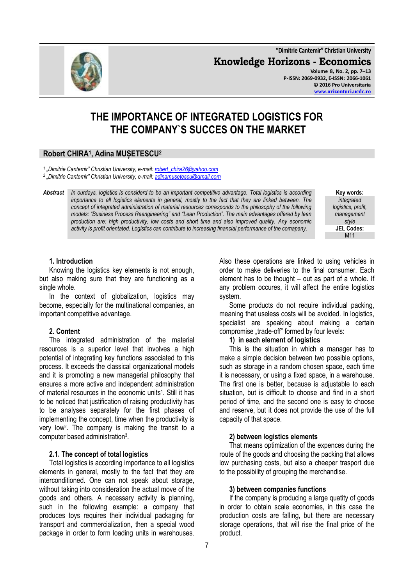**"Dimitrie Cantemir" Christian University Knowledge Horizons - Economics Volume 8, No. 2, pp. 7–13**

**P-ISSN: 2069-0932, E-ISSN: 2066-1061 © 2016 Pro Universitaria [www.orizonturi.ucdc.ro](http://www.orizonturi.ucdc.ro/)**

# **THE IMPORTANCE OF INTEGRATED LOGISTICS FOR THE COMPANY`S SUCCES ON THE MARKET**

# **Robert CHIRA<sup>1</sup> , Adina MUȘETESCU<sup>2</sup>**

*1 "Dimitrie Cantemir" Christian University, e-mail[: robert\\_chira26@yahoo.com](mailto:robert_chira26@yahoo.com)*

*2 "Dimitrie Cantemir" Christian University, e-mail[: adinamusetescu@gmail.com](mailto:adinamusetescu@gmail.com)*

*Abstract In ourdays, logistics is considerd to be an important competitive advantage. Total logistics is according importance to all logistics elements in general, mostly to the fact that they are linked between. The concept of integrated administration of material resources corresponds to the philosophy of the following models: "Business Process Reengineering" and "Lean Production". The main advantages offered by lean production are: high productivity, low costs and short time and also improved quality. Any economic activity is profit orientated. Logistics can contribute to increasing financial performance of the comapany.* 

**Key words:** *integrated logistics, profit, management style* **JEL Codes:** M11

## **1. Introduction**

Knowing the logistics key elements is not enough, but also making sure that they are functioning as a single whole.

In the context of globalization, logistics may become, especially for the multinational companies, an important competitive advantage.

# **2. Content**

The integrated administration of the material resources is a superior level that involves a high potential of integrating key functions associated to this process. It exceeds the classical organizational models and it is promoting a new managerial philosophy that ensures a more active and independent administration of material resources in the economic units<sup>1</sup>. Still it has to be noticed that justification of raising productivity has to be analyses separately for the first phases of implementing the concept, time when the productivity is very low<sup>2</sup> . The company is making the transit to a computer based administration<sup>3</sup> .

# **2.1. The concept of total logistics**

Total logistics is according importance to all logistics elements in general, mostly to the fact that they are interconditioned. One can not speak about storage, without taking into consideration the actual move of the goods and others. A necessary activity is planning, such in the following example: a company that produces toys requires their individual packaging for transport and commercialization, then a special wood package in order to form loading units in warehouses.

Also these operations are linked to using vehicles in order to make deliveries to the final consumer. Each element has to be thought – out as part of a whole. If any problem occures, it will affect the entire logistics system.

Some products do not require individual packing, meaning that useless costs will be avoided. In logistics, specialist are speaking about making a certain compromise ..trade-off" formed by four levels:

# **1) in each element of logistics**

This is the situation in which a manager has to make a simple decision between two possible options, such as storage in a random chosen space, each time it is necessary, or using a fixed space, in a warehouse. The first one is better, because is adjustable to each situation, but is difficult to choose and find in a short period of time, and the second one is easy to choose and reserve, but it does not provide the use of the full capacity of that space.

## **2) between logistics elements**

That means optimization of the expences during the route of the goods and choosing the packing that allows low purchasing costs, but also a cheeper trasport due to the possibility of grouping the merchandise.

## **3) between companies functions**

If the company is producing a large quatity of goods in order to obtain scale economies, in this case the production costs are falling, but there are necessary storage operations, that will rise the final price of the product.

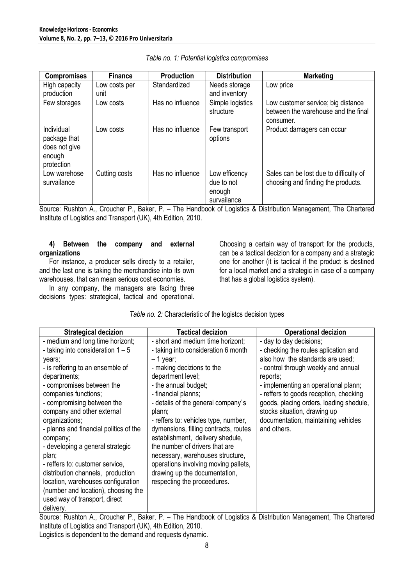| <b>Compromises</b>                                                  | <b>Finance</b> | <b>Production</b> | <b>Distribution</b>                                  | <b>Marketing</b>                                                                       |
|---------------------------------------------------------------------|----------------|-------------------|------------------------------------------------------|----------------------------------------------------------------------------------------|
| High capacity                                                       | Low costs per  | Standardized      | Needs storage                                        | Low price                                                                              |
| production                                                          | unit           |                   | and inventory                                        |                                                                                        |
| Few storages                                                        | Low costs      | Has no influence  | Simple logistics<br>structure                        | Low customer service; big distance<br>between the warehouse and the final<br>consumer. |
| Individual<br>package that<br>does not give<br>enough<br>protection | Low costs      | Has no influence  | Few transport<br>options                             | Product damagers can occur                                                             |
| Low warehose<br>survailance                                         | Cutting costs  | Has no influence  | Low efficency<br>due to not<br>enough<br>survailance | Sales can be lost due to difficulty of<br>choosing and finding the products.           |

Source: Rushton A., Croucher P., Baker, P. – The Handbook of Logistics & Distribution Management, The Chartered Institute of Logistics and Transport (UK), 4th Edition, 2010.

#### **4) Between the company and external organizations**

For instance, a producer sells directy to a retailer, and the last one is taking the merchandise into its own warehouses, that can mean serious cost economies.

In any company, the managers are facing three decisions types: strategical, tactical and operational. Choosing a certain way of transport for the products, can be a tactical decizion for a company and a strategic one for another (it is tactical if the product is destined for a local market and a strategic in case of a company that has a global logistics system).

| <b>Strategical decizion</b>                                                                                                                                                                                                                                                                                                                                                                                                                                                                                                                                                    | <b>Tactical decizion</b>                                                                                                                                                                                                                                                                                                                                                                                                                                                                                                                   | <b>Operational decizion</b>                                                                                                                                                                                                                                                                                                                                               |
|--------------------------------------------------------------------------------------------------------------------------------------------------------------------------------------------------------------------------------------------------------------------------------------------------------------------------------------------------------------------------------------------------------------------------------------------------------------------------------------------------------------------------------------------------------------------------------|--------------------------------------------------------------------------------------------------------------------------------------------------------------------------------------------------------------------------------------------------------------------------------------------------------------------------------------------------------------------------------------------------------------------------------------------------------------------------------------------------------------------------------------------|---------------------------------------------------------------------------------------------------------------------------------------------------------------------------------------------------------------------------------------------------------------------------------------------------------------------------------------------------------------------------|
| - medium and long time horizont;<br>- taking into consideration $1 - 5$<br>years;<br>- is reffering to an ensemble of<br>departments;<br>- compromises between the<br>companies functions;<br>- compromising between the<br>company and other external<br>organizations;<br>- planns and financial politics of the<br>company;<br>- developing a general strategic<br>plan;<br>- reffers to: customer service,<br>distribution channels, production<br>location, warehouses configuration<br>(number and location), choosing the<br>used way of transport, direct<br>delivery. | - short and medium time horizont;<br>- taking into consideration 6 month<br>$-1$ year;<br>- making decizions to the<br>department level;<br>- the annual budget;<br>- financial planns;<br>- detalis of the general company's<br>plann;<br>- reffers to: vehicles type, number,<br>dymensions, filling contracts, routes<br>establishment, delivery shedule,<br>the number of drivers that are<br>necessary, warehouses structure,<br>operations involving moving pallets,<br>drawing up the documentation,<br>respecting the proceedures. | - day to day decisions;<br>- checking the roules aplication and<br>also how the standards are used;<br>- control through weekly and annual<br>reports;<br>- implementing an operational plann;<br>- reffers to goods reception, checking<br>goods, placing orders, loading shedule,<br>stocks situation, drawing up<br>documentation, maintaining vehicles<br>and others. |

Source: Rushton A., Croucher P., Baker, P. – The Handbook of Logistics & Distribution Management, The Chartered Institute of Logistics and Transport (UK), 4th Edition, 2010. Logistics is dependent to the demand and requests dynamic.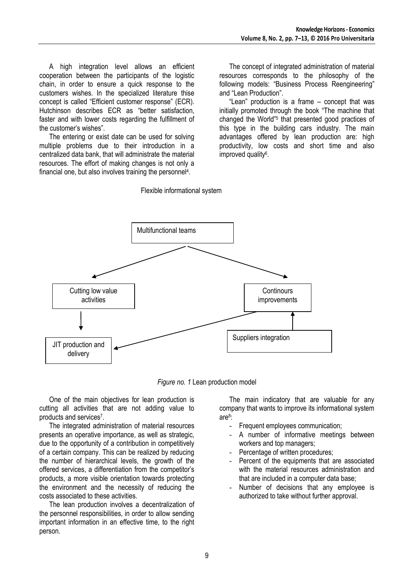A high integration level allows an efficient cooperation between the participants of the logistic chain, in order to ensure a quick response to the customers wishes. In the specialized literature thise concept is called "Efficient customer response" (ECR). Hutchinson describes ECR as "better satisfaction, faster and with lower costs regarding the fulfillment of the customer's wishes".

The entering or exist date can be used for solving multiple problems due to their introduction in a centralized data bank, that will administrate the material resources. The effort of making changes is not only a financial one, but also involves training the personnel<sup>4</sup>.

The concept of integrated administration of material resources corresponds to the philosophy of the following models: "Business Process Reengineering" and "Lean Production".

"Lean" production is a frame – concept that was initially promoted through the book "The machine that changed the World"<sup>5</sup> that presented good practices of this type in the building cars industry. The main advantages offered by lean production are: high productivity, low costs and short time and also improved quality<sup>6</sup>.



Flexible informational system

*Figure no. 1* Lean production model

One of the main objectives for lean production is cutting all activities that are not adding value to products and services<sup>7</sup>.

The integrated administration of material resources presents an operative importance, as well as strategic, due to the opportunity of a contribution in competitively of a certain company. This can be realized by reducing the number of hierarchical levels, the growth of the offered services, a differentiation from the competitor's products, a more visible orientation towards protecting the environment and the necessity of reducing the costs associated to these activities.

The lean production involves a decentralization of the personnel responsibilities, in order to allow sending important information in an effective time, to the right person.

The main indicatory that are valuable for any company that wants to improve its informational system are<sup>8</sup> :

- Frequent employees communication:
- A number of informative meetings between workers and top managers;
- Percentage of written procedures;
- Percent of the equipments that are associated with the material resources administration and that are included in a computer data base;
- Number of decisions that any employee is authorized to take without further approval.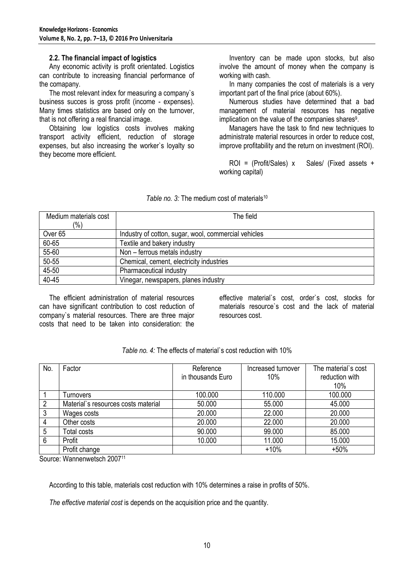#### **2.2. The financial impact of logistics**

Any economic activity is profit orientated. Logistics can contribute to increasing financial performance of the comapany.

The most relevant index for measuring a company`s business succes is gross profit (income - expenses). Many times statistics are based only on the turnover, that is not offering a real financial image.

Obtaining low logistics costs involves making transport activity efficient, reduction of storage expenses, but also increasing the worker`s loyalty so they become more efficient.

Inventory can be made upon stocks, but also involve the amount of money when the company is working with cash.

In many companies the cost of materials is a very important part of the final price (about 60%).

Numerous studies have determined that a bad management of material resources has negative implication on the value of the companies shares $9$ .

Managers have the task to find new techniques to administrate material resources in order to reduce cost, improve profitability and the return on investment (ROI).

ROI = (Profit/Sales) x Sales/ (Fixed assets + working capital)

| Medium materials cost | The field                                            |
|-----------------------|------------------------------------------------------|
| $\frac{1}{2}$         |                                                      |
| Over <sub>65</sub>    | Industry of cotton, sugar, wool, commercial vehicles |
| 60-65                 | Textile and bakery industry                          |
| 55-60                 | Non - ferrous metals industry                        |
| 50-55                 | Chemical, cement, electricity industries             |
| 45-50                 | Pharmaceutical industry                              |
| 40-45                 | Vinegar, newspapers, planes industry                 |

#### *Table no. 3:* The medium cost of materials<sup>10</sup>

The efficient administration of material resources can have significant contribution to cost reduction of company`s material resources. There are three major costs that need to be taken into consideration: the

effective material`s cost, order`s cost, stocks for materials resource`s cost and the lack of material resources cost.

| No.            | Factor                              | Reference<br>in thousands Euro | Increased turnover<br>10% | The material's cost<br>reduction with<br>10% |
|----------------|-------------------------------------|--------------------------------|---------------------------|----------------------------------------------|
|                | Turnovers                           | 100.000                        | 110.000                   | 100.000                                      |
| $\overline{2}$ | Material's resources costs material | 50.000                         | 55.000                    | 45.000                                       |
| 3              | Wages costs                         | 20.000                         | 22.000                    | 20.000                                       |
| $\overline{4}$ | Other costs                         | 20.000                         | 22.000                    | 20.000                                       |
| 5              | <b>Total costs</b>                  | 90.000                         | 99.000                    | 85.000                                       |
| 6              | Profit                              | 10.000                         | 11.000                    | 15.000                                       |
|                | Profit change                       |                                | $+10%$                    | $+50%$                                       |

*Table no. 4:* The effects of material`s cost reduction with 10%

Source: Wannenwetsch 2007<sup>11</sup>

According to this table, materials cost reduction with 10% determines a raise in profits of 50%.

*The effective material cost* is depends on the acquisition price and the quantity.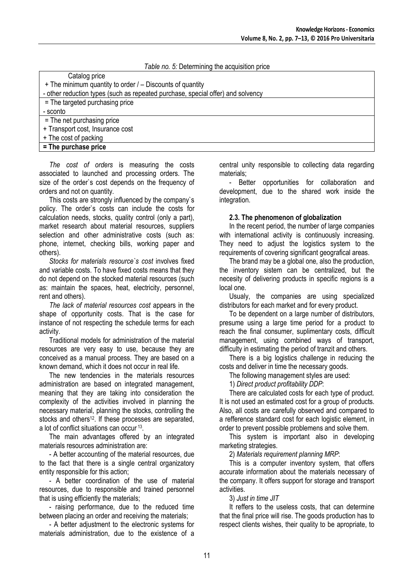## *Table no. 5:* Determining the acquisition price Catalog price + The minimum quantity to order / – Discounts of quantity - other reduction types (such as repeated purchase, special offer) and solvency = The targeted purchasing price - sconto = The net purchasing price + Transport cost, Insurance cost + The cost of packing **= The purchase price**

*The cost of orders* is measuring the costs associated to launched and processing orders. The size of the order`s cost depends on the frequency of orders and not on quantity.

This costs are strongly influenced by the company`s policy. The order`s costs can include the costs for calculation needs, stocks, quality control (only a part), market research about material resources, suppliers selection and other administrative costs (such as: phone, internet, checking bills, working paper and others).

*Stocks for materials resource`s cost* involves fixed and variable costs. To have fixed costs means that they do not depend on the stocked material resources (such as: maintain the spaces, heat, electricity, personnel, rent and others).

*The lack of material resources cost* appears in the shape of opportunity costs. That is the case for instance of not respecting the schedule terms for each activity.

Traditional models for administration of the material resources are very easy to use, because they are conceived as a manual process. They are based on a known demand, which it does not occur in real life.

The new tendencies in the materials resources administration are based on integrated management, meaning that they are taking into consideration the complexity of the activities involved in planning the necessary material, planning the stocks, controlling the stocks and others<sup>12</sup>. If these processes are separated, a lot of conflict situations can occur <sup>13</sup> .

The main advantages offered by an integrated materials resources administration are:

- A better accounting of the material resources, due to the fact that there is a single central organizatory entity responsible for this action;

- A better coordination of the use of material resources, due to responsible and trained personnel that is using efficiently the materials;

- raising performance, due to the reduced time between placing an order and receiving the materials;

- A better adjustment to the electronic systems for materials administration, due to the existence of a central unity responsible to collecting data regarding materials;

- Better opportunities for collaboration and development, due to the shared work inside the integration.

#### **2.3. The phenomenon of globalization**

In the recent period, the number of large companies with international activity is continuously increasing. They need to adjust the logistics system to the requirements of covering significant geografical areas.

The brand may be a global one, also the production, the inventory sistem can be centralized, but the necesity of delivering products in specific regions is a local one.

Usualy, the companies are using specialized distributors for each market and for every product.

To be dependent on a large number of distributors, presume using a large time period for a product to reach the final consumer, suplimentary costs, difficult management, using combined ways of transport, difficulty in estimating the period of tranzit and others.

There is a big logistics challenge in reducing the costs and deliver in time the necessary goods.

The following management styles are used:

1) *Direct product profitability DDP*:

There are calculated costs for each type of product. It is not used an estimated cost for a group of products. Also, all costs are carefully observed and compared to a refference standard cost for each logistic element, in order to prevent possible problemens and solve them.

This system is important also in developing marketing strategies.

2) *Materials requirement planning MRP*:

This is a computer inventory system, that offers accurate information about the materials necessary of the company. It offers support for storage and transport activities.

3) *Just in time JIT*

It reffers to the useless costs, that can determine that the final price will rise. The goods production has to respect clients wishes, their quality to be apropriate, to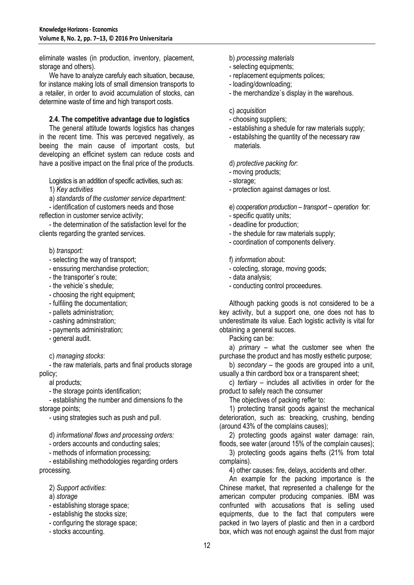eliminate wastes (in production, inventory, placement, storage and others).

We have to analyze carefuly each situation, because, for instance making lots of small dimension transports to a retailer, in order to avoid accumulation of stocks, can determine waste of time and high transport costs.

#### **2.4. The competitive advantage due to logistics**

The general attitude towards logistics has changes in the recent time. This was perceved negatively, as beeing the main cause of important costs, but developing an efficinet system can reduce costs and have a positive impact on the final price of the products.

Logistics is an addition of specific activities, such as:

1) *Key activities*

a) *standards of the customer service department:* - identification of customers needs and those

reflection in customer service activity;

- the determination of the satisfaction level for the clients regarding the granted services.

#### b) *transport:*

- selecting the way of transport;
- enssuring merchandise protection;
- the transporter`s route;
- the vehicle`s shedule;
- choosing the right equipment;
- fulfiling the documentation;
- pallets administration;
- cashing adminstration;
- payments administration;
- general audit.

c) *managing stocks*:

- the raw materials, parts and final products storage policy;

al products;

- the storage points identification;

- establishing the number and dimensions fo the storage points;

- using strategies such as push and pull.

d) *informational flows and processing orders:*

- orders accounts and conducting sales;

- methods of information processing;

- estabilishing methodologies regarding orders processing.

- 2) *Support activities*:
- a) *storage*
- establishing storage space;
- establishig the stocks size;
- configuring the storage space;
- stocks accounting.
- b) *processing materials*
- selecting equipments;
- replacement equipments polices;
- loading/downloading;
- the merchandize`s display in the warehous.
- c) *acquisition*
- choosing suppliers;
- establishing a shedule for raw materials supply;
- estabilshing the quantity of the necessary raw materials.

d) *protective packing for*:

- moving products;
- storage;
- protection against damages or lost.

e) *cooperation production – transport – operation* for:

- specific quatity units;
- deadline for production;
- the shedule for raw materials supply;
- coordination of components delivery.

f) *information* about:

- colecting, storage, moving goods;
- data analysis;
- conducting control proceedures.

Although packing goods is not considered to be a key activity, but a support one, one does not has to underestimate its value. Each logistic activity is vital for obtaining a general succes.

Packing can be:

a) *primary –* what the customer see when the purchase the product and has mostly esthetic purpose;

b) *secondary –* the goods are grouped into a unit, usually a thin cardbord box or a transparent sheet;

c) *tertiary –* includes all activities in order for the product to safely reach the consumer

The objectives of packing reffer to:

1) protecting transit goods against the mechanical deterioration, such as: breacking, crushing, bending (around 43% of the complains causes);

2) protecting goods against water damage: rain, floods, see water (around 15% of the complain causes);

3) protecting goods agains thefts (21% from total complains).

4) other causes: fire, delays, accidents and other.

An example for the packing importance is the Chinese market, that represented a challenge for the american computer producing companies. IBM was confrunted with accusations that is selling used equipments, due to the fact that computers were packed in two layers of plastic and then in a cardbord box, which was not enough against the dust from major